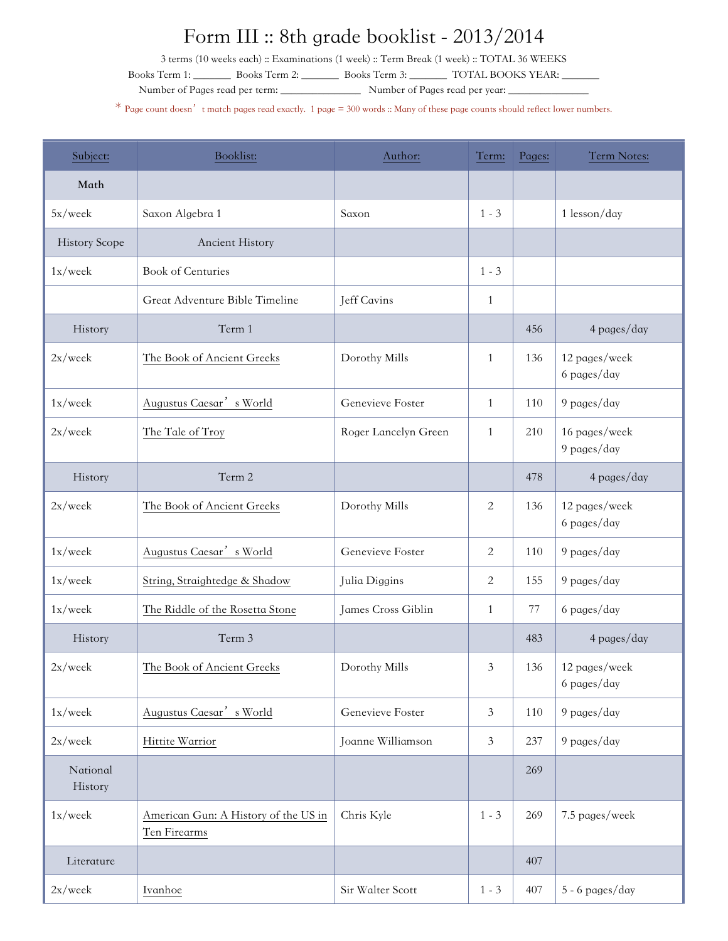## Form III :: 8th grade booklist - 2013/2014

3 terms (10 weeks each) :: Examinations (1 week) :: Term Break (1 week) :: TOTAL 36 WEEKS

Books Term 1: \_\_\_\_\_\_\_\_\_ Books Term 2: \_\_\_\_\_\_\_\_\_ Books Term 3: \_\_\_\_\_\_\_\_\_ TOTAL BOOKS YEAR: \_\_\_\_\_\_\_\_ Number of Pages read per term: \_\_\_\_\_\_\_\_\_\_\_\_\_\_\_ Number of Pages read per year: \_\_\_\_\_\_\_\_\_\_\_\_\_\_\_

 $*$  Page count doesn't match pages read exactly. 1 page = 300 words :: Many of these page counts should reflect lower numbers.

| Subject:             | Booklist:                                            | Author:              | Term:          | Pages: | Term Notes:                  |
|----------------------|------------------------------------------------------|----------------------|----------------|--------|------------------------------|
| Math                 |                                                      |                      |                |        |                              |
| $5x$ /week           | Saxon Algebra 1                                      | Saxon                | $1 - 3$        |        | 1 lesson/day                 |
| <b>History Scope</b> | Ancient History                                      |                      |                |        |                              |
| $1x$ /week           | <b>Book of Centuries</b>                             |                      | $1 - 3$        |        |                              |
|                      | Great Adventure Bible Timeline                       | Jeff Cavins          | 1              |        |                              |
| History              | Term 1                                               |                      |                | 456    | 4 pages/day                  |
| $2x$ /week           | The Book of Ancient Greeks                           | Dorothy Mills        | 1              | 136    | 12 pages/week<br>6 pages/day |
| $1x/$ week           | Augustus Caesar's World                              | Genevieve Foster     | 1              | 110    | 9 pages/day                  |
| $2x$ /week           | The Tale of Troy                                     | Roger Lancelyn Green | $\mathbf{1}$   | 210    | 16 pages/week<br>9 pages/day |
| History              | Term 2                                               |                      |                | 478    | 4 pages/day                  |
| $2x$ /week           | The Book of Ancient Greeks                           | Dorothy Mills        | $\mathbf{2}$   | 136    | 12 pages/week<br>6 pages/day |
| $1x/$ week           | Augustus Caesar's World                              | Genevieve Foster     | 2              | 110    | 9 pages/day                  |
| $1x/$ week           | String, Straightedge & Shadow                        | Julia Diggins        | 2              | 155    | 9 pages/day                  |
| $1x/$ week           | The Riddle of the Rosetta Stone                      | James Cross Giblin   | 1              | 77     | 6 pages/day                  |
| History              | Term 3                                               |                      |                | 483    | 4 pages/day                  |
| $2x$ /week           | The Book of Ancient Greeks                           | Dorothy Mills        | 3              | 136    | 12 pages/week<br>6 pages/day |
| 1x/week              | Augustus Caesar's World                              | Genevieve Foster     | $\mathfrak{Z}$ | 110    | 9 pages/day                  |
| $2x$ /week           | Hittite Warrior                                      | Joanne Williamson    | $\mathfrak{Z}$ | 237    | 9 pages/day                  |
| National<br>History  |                                                      |                      |                | 269    |                              |
| $1x/$ week           | American Gun: A History of the US in<br>Ten Firearms | Chris Kyle           | $1 - 3$        | 269    | 7.5 pages/week               |
| Literature           |                                                      |                      |                | 407    |                              |
| $2x$ /week           | Ivanhoe                                              | Sir Walter Scott     | $1 - 3$        | 407    | 5 - 6 pages/day              |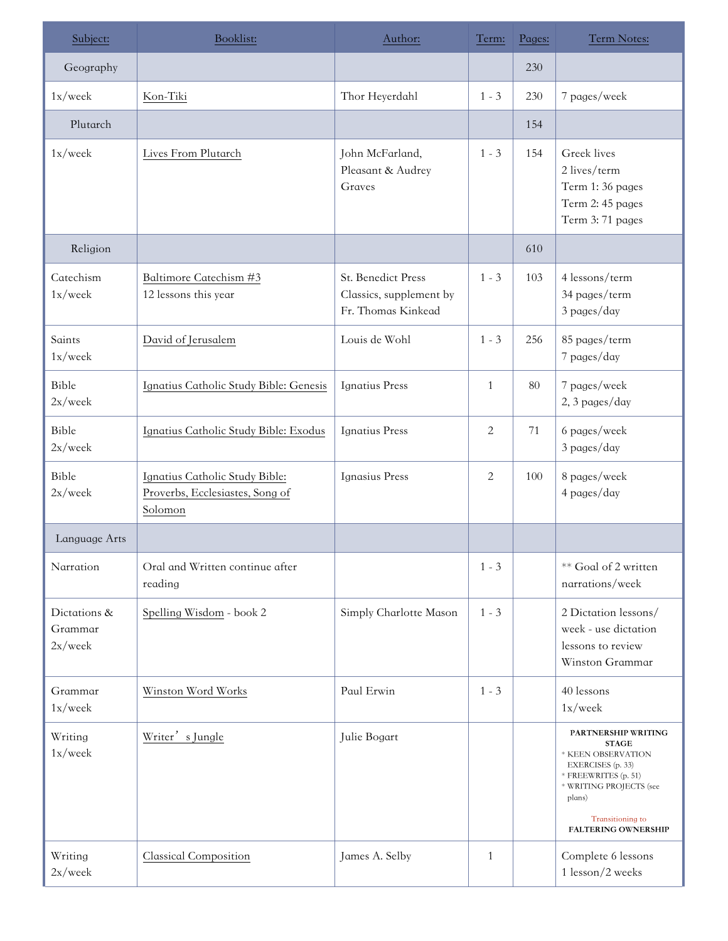| Subject:                              | Booklist:                                                                    | Author:                                                                    | Term:        | Pages: | Term Notes:                                                                                                                                                                                   |
|---------------------------------------|------------------------------------------------------------------------------|----------------------------------------------------------------------------|--------------|--------|-----------------------------------------------------------------------------------------------------------------------------------------------------------------------------------------------|
| Geography                             |                                                                              |                                                                            |              | 230    |                                                                                                                                                                                               |
| $1x/$ week                            | Kon-Tiki                                                                     | Thor Heyerdahl                                                             | $1 - 3$      | 230    | 7 pages/week                                                                                                                                                                                  |
| Plutarch                              |                                                                              |                                                                            |              | 154    |                                                                                                                                                                                               |
| $1x/$ week                            | Lives From Plutarch                                                          | John McFarland,<br>Pleasant & Audrey<br>Graves                             | $1 - 3$      | 154    | Greek lives<br>2 lives/term<br>Term 1:36 pages<br>Term 2: 45 pages<br>Term 3:71 pages                                                                                                         |
| Religion                              |                                                                              |                                                                            |              | 610    |                                                                                                                                                                                               |
| Catechism<br>$1x/$ week               | Baltimore Catechism #3<br>12 lessons this year                               | <b>St. Benedict Press</b><br>Classics, supplement by<br>Fr. Thomas Kinkead | $1 - 3$      | 103    | 4 lessons/term<br>34 pages/term<br>3 pages/day                                                                                                                                                |
| Saints<br>$1x$ /week                  | David of Jerusalem                                                           | Louis de Wohl                                                              | $1 - 3$      | 256    | 85 pages/term<br>7 pages/day                                                                                                                                                                  |
| Bible<br>$2x/$ week                   | Ignatius Catholic Study Bible: Genesis                                       | Ignatius Press                                                             | 1            | 80     | 7 pages/week<br>2, 3 pages/day                                                                                                                                                                |
| Bible<br>$2x/$ week                   | Ignatius Catholic Study Bible: Exodus                                        | Ignatius Press                                                             | 2            | 71     | 6 pages/week<br>3 pages/day                                                                                                                                                                   |
| Bible<br>$2x$ /week                   | Ignatius Catholic Study Bible:<br>Proverbs, Ecclesiastes, Song of<br>Solomon | Ignasius Press                                                             | $\mathbf{2}$ | 100    | 8 pages/week<br>4 pages/day                                                                                                                                                                   |
| Language Arts                         |                                                                              |                                                                            |              |        |                                                                                                                                                                                               |
| Narration                             | Oral and Written continue after<br>reading                                   |                                                                            | $1 - 3$      |        | ** Goal of 2 written<br>narrations/week                                                                                                                                                       |
| Dictations &<br>Grammar<br>$2x/$ week | Spelling Wisdom - book 2                                                     | Simply Charlotte Mason                                                     | $1 - 3$      |        | 2 Dictation lessons/<br>week - use dictation<br>lessons to review<br>Winston Grammar                                                                                                          |
| Grammar<br>$1x/$ week                 | Winston Word Works                                                           | Paul Erwin                                                                 | $1 - 3$      |        | 40 lessons<br>$1x/$ week                                                                                                                                                                      |
| Writing<br>$1x/$ week                 | Writer' s Jungle                                                             | Julie Bogart                                                               |              |        | PARTNERSHIP WRITING<br><b>STAGE</b><br>* KEEN OBSERVATION<br>EXERCISES (p. 33)<br>* FREEWRITES (p. 51)<br>* WRITING PROJECTS (see<br>plans)<br>Transitioning to<br><b>FALTERING OWNERSHIP</b> |
| Writing<br>$2x$ /week                 | <b>Classical Composition</b>                                                 | James A. Selby                                                             | $\mathbf{1}$ |        | Complete 6 lessons<br>1 lesson/2 weeks                                                                                                                                                        |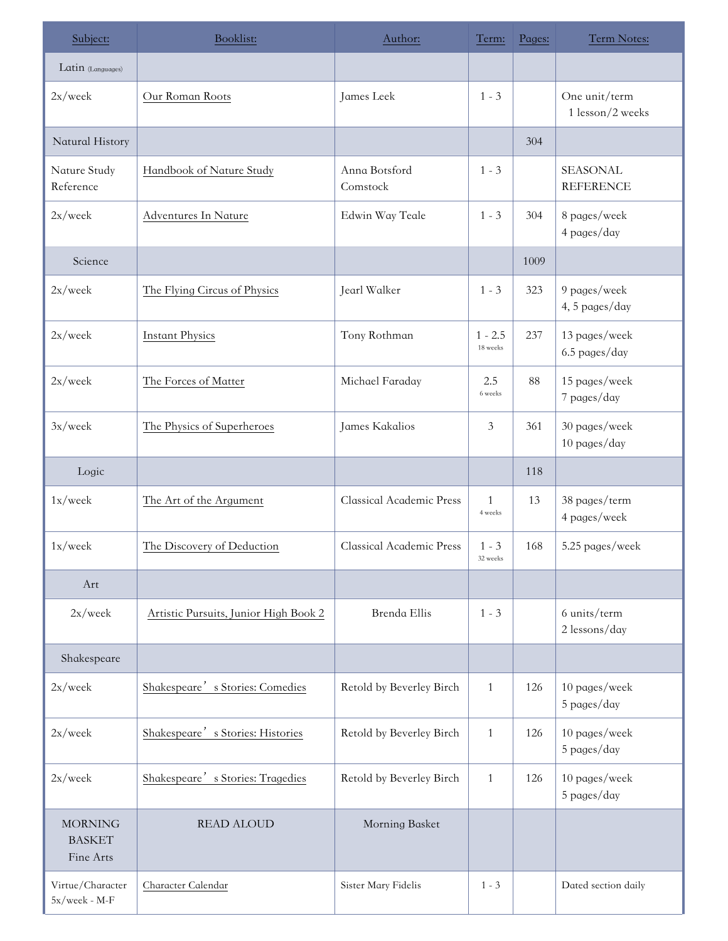| Subject:                                     | Booklist:                             | Author:                         | Term:                 | Pages: | Term Notes:                       |
|----------------------------------------------|---------------------------------------|---------------------------------|-----------------------|--------|-----------------------------------|
| Latin (Languages)                            |                                       |                                 |                       |        |                                   |
| $2x/$ week                                   | Our Roman Roots                       | James Leek                      | $1 - 3$               |        | One unit/term<br>1 lesson/2 weeks |
| Natural History                              |                                       |                                 |                       | 304    |                                   |
| Nature Study<br>Reference                    | Handbook of Nature Study              | Anna Botsford<br>Comstock       | $1 - 3$               |        | SEASONAL<br><b>REFERENCE</b>      |
| $2x/$ week                                   | Adventures In Nature                  | Edwin Way Teale                 | $1 - 3$               | 304    | 8 pages/week<br>4 pages/day       |
| Science                                      |                                       |                                 |                       | 1009   |                                   |
| $2x$ /week                                   | The Flying Circus of Physics          | Jearl Walker                    | $1 - 3$               | 323    | 9 pages/week<br>4, 5 pages/day    |
| $2x$ /week                                   | <b>Instant Physics</b>                | Tony Rothman                    | $1 - 2.5$<br>18 weeks | 237    | 13 pages/week<br>6.5 pages/day    |
| $2x/$ week                                   | The Forces of Matter                  | Michael Faraday                 | 2.5<br>6 weeks        | 88     | 15 pages/week<br>7 pages/day      |
| $3x/$ week                                   | The Physics of Superheroes            | James Kakalios                  | $\mathfrak{Z}$        | 361    | 30 pages/week<br>10 pages/day     |
| Logic                                        |                                       |                                 |                       | 118    |                                   |
| $1x/$ week                                   | The Art of the Argument               | <b>Classical Academic Press</b> | 1<br>4 weeks          | 13     | 38 pages/term<br>4 pages/week     |
| $1x$ /week                                   | The Discovery of Deduction            | <b>Classical Academic Press</b> | $1 - 3$<br>32 weeks   | 168    | 5.25 pages/week                   |
| Art                                          |                                       |                                 |                       |        |                                   |
| $2x$ /week                                   | Artistic Pursuits, Junior High Book 2 | Brenda Ellis                    | $1 - 3$               |        | 6 units/term<br>2 lessons/day     |
| Shakespeare                                  |                                       |                                 |                       |        |                                   |
| $2x/$ week                                   | Shakespeare's Stories: Comedies       | Retold by Beverley Birch        | $\mathbf{1}$          | 126    | 10 pages/week<br>5 pages/day      |
| $2x/$ week                                   | Shakespeare's Stories: Histories      | Retold by Beverley Birch        | 1                     | 126    | 10 pages/week<br>5 pages/day      |
| $2x/$ week                                   | Shakespeare's Stories: Tragedies      | Retold by Beverley Birch        | 1                     | 126    | 10 pages/week<br>5 pages/day      |
| <b>MORNING</b><br><b>BASKET</b><br>Fine Arts | <b>READ ALOUD</b>                     | Morning Basket                  |                       |        |                                   |
| Virtue/Character<br>$5x/$ week - M-F         | Character Calendar                    | Sister Mary Fidelis             | $1 - 3$               |        | Dated section daily               |